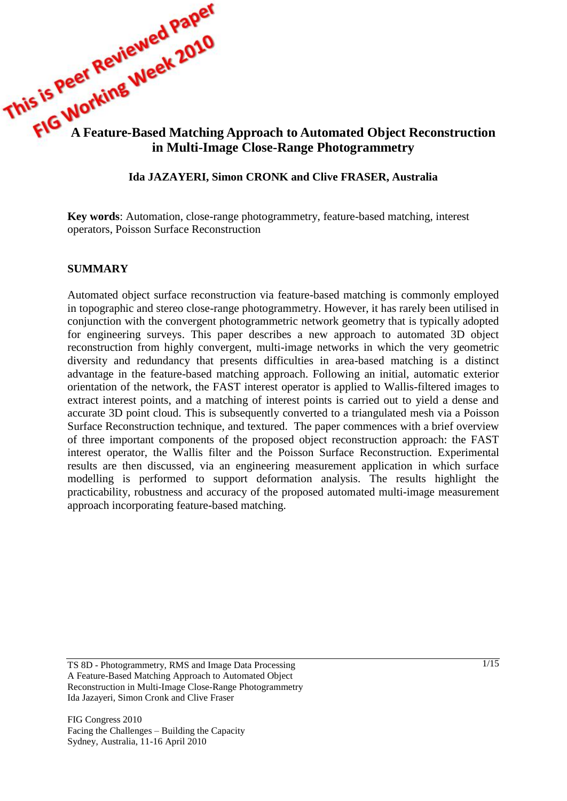

## **Ida JAZAYERI, Simon CRONK and Clive FRASER, Australia**

**Key words**: Automation, close-range photogrammetry, feature-based matching, interest operators, Poisson Surface Reconstruction

#### **SUMMARY**

Automated object surface reconstruction via feature-based matching is commonly employed in topographic and stereo close-range photogrammetry. However, it has rarely been utilised in conjunction with the convergent photogrammetric network geometry that is typically adopted for engineering surveys. This paper describes a new approach to automated 3D object reconstruction from highly convergent, multi-image networks in which the very geometric diversity and redundancy that presents difficulties in area-based matching is a distinct advantage in the feature-based matching approach. Following an initial, automatic exterior orientation of the network, the FAST interest operator is applied to Wallis-filtered images to extract interest points, and a matching of interest points is carried out to yield a dense and accurate 3D point cloud. This is subsequently converted to a triangulated mesh via a Poisson Surface Reconstruction technique, and textured. The paper commences with a brief overview of three important components of the proposed object reconstruction approach: the FAST interest operator, the Wallis filter and the Poisson Surface Reconstruction. Experimental results are then discussed, via an engineering measurement application in which surface modelling is performed to support deformation analysis. The results highlight the practicability, robustness and accuracy of the proposed automated multi-image measurement approach incorporating feature-based matching.

TS 8D - Photogrammetry, RMS and Image Data Processing A Feature-Based Matching Approach to Automated Object Reconstruction in Multi-Image Close-Range Photogrammetry Ida Jazayeri, Simon Cronk and Clive Fraser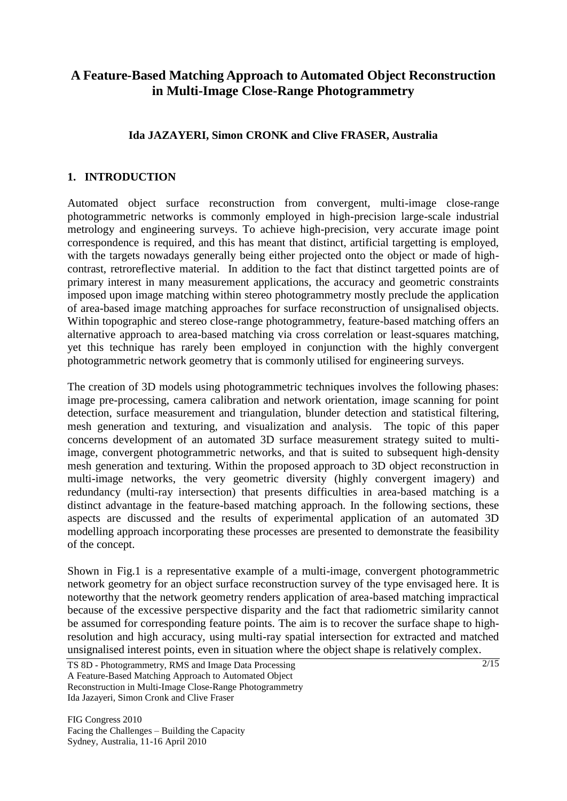# **A Feature-Based Matching Approach to Automated Object Reconstruction in Multi-Image Close-Range Photogrammetry**

## **Ida JAZAYERI, Simon CRONK and Clive FRASER, Australia**

## **1. INTRODUCTION**

Automated object surface reconstruction from convergent, multi-image close-range photogrammetric networks is commonly employed in high-precision large-scale industrial metrology and engineering surveys. To achieve high-precision, very accurate image point correspondence is required, and this has meant that distinct, artificial targetting is employed, with the targets nowadays generally being either projected onto the object or made of highcontrast, retroreflective material. In addition to the fact that distinct targetted points are of primary interest in many measurement applications, the accuracy and geometric constraints imposed upon image matching within stereo photogrammetry mostly preclude the application of area-based image matching approaches for surface reconstruction of unsignalised objects. Within topographic and stereo close-range photogrammetry, feature-based matching offers an alternative approach to area-based matching via cross correlation or least-squares matching, yet this technique has rarely been employed in conjunction with the highly convergent photogrammetric network geometry that is commonly utilised for engineering surveys.

The creation of 3D models using photogrammetric techniques involves the following phases: image pre-processing, camera calibration and network orientation, image scanning for point detection, surface measurement and triangulation, blunder detection and statistical filtering, mesh generation and texturing, and visualization and analysis. The topic of this paper concerns development of an automated 3D surface measurement strategy suited to multiimage, convergent photogrammetric networks, and that is suited to subsequent high-density mesh generation and texturing. Within the proposed approach to 3D object reconstruction in multi-image networks, the very geometric diversity (highly convergent imagery) and redundancy (multi-ray intersection) that presents difficulties in area-based matching is a distinct advantage in the feature-based matching approach. In the following sections, these aspects are discussed and the results of experimental application of an automated 3D modelling approach incorporating these processes are presented to demonstrate the feasibility of the concept.

Shown in Fig.1 is a representative example of a multi-image, convergent photogrammetric network geometry for an object surface reconstruction survey of the type envisaged here. It is noteworthy that the network geometry renders application of area-based matching impractical because of the excessive perspective disparity and the fact that radiometric similarity cannot be assumed for corresponding feature points. The aim is to recover the surface shape to highresolution and high accuracy, using multi-ray spatial intersection for extracted and matched unsignalised interest points, even in situation where the object shape is relatively complex.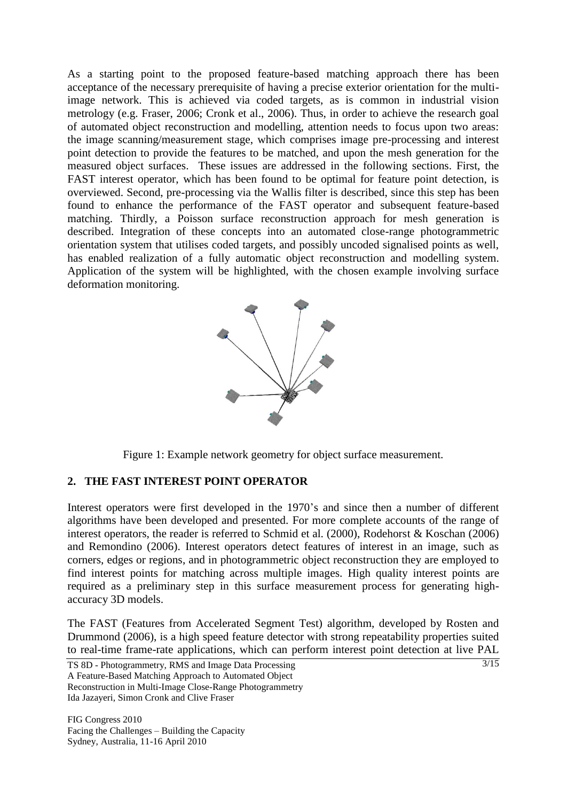As a starting point to the proposed feature-based matching approach there has been acceptance of the necessary prerequisite of having a precise exterior orientation for the multiimage network. This is achieved via coded targets, as is common in industrial vision metrology (e.g. Fraser, 2006; Cronk et al., 2006). Thus, in order to achieve the research goal of automated object reconstruction and modelling, attention needs to focus upon two areas: the image scanning/measurement stage, which comprises image pre-processing and interest point detection to provide the features to be matched, and upon the mesh generation for the measured object surfaces. These issues are addressed in the following sections. First, the FAST interest operator, which has been found to be optimal for feature point detection, is overviewed. Second, pre-processing via the Wallis filter is described, since this step has been found to enhance the performance of the FAST operator and subsequent feature-based matching. Thirdly, a Poisson surface reconstruction approach for mesh generation is described. Integration of these concepts into an automated close-range photogrammetric orientation system that utilises coded targets, and possibly uncoded signalised points as well, has enabled realization of a fully automatic object reconstruction and modelling system. Application of the system will be highlighted, with the chosen example involving surface deformation monitoring.



Figure 1: Example network geometry for object surface measurement.

## **2. THE FAST INTEREST POINT OPERATOR**

Interest operators were first developed in the 1970's and since then a number of different algorithms have been developed and presented. For more complete accounts of the range of interest operators, the reader is referred to Schmid et al. (2000), Rodehorst & Koschan (2006) and Remondino (2006). Interest operators detect features of interest in an image, such as corners, edges or regions, and in photogrammetric object reconstruction they are employed to find interest points for matching across multiple images. High quality interest points are required as a preliminary step in this surface measurement process for generating highaccuracy 3D models.

The FAST (Features from Accelerated Segment Test) algorithm, developed by Rosten and Drummond (2006), is a high speed feature detector with strong repeatability properties suited to real-time frame-rate applications, which can perform interest point detection at live PAL

TS 8D - Photogrammetry, RMS and Image Data Processing A Feature-Based Matching Approach to Automated Object Reconstruction in Multi-Image Close-Range Photogrammetry Ida Jazayeri, Simon Cronk and Clive Fraser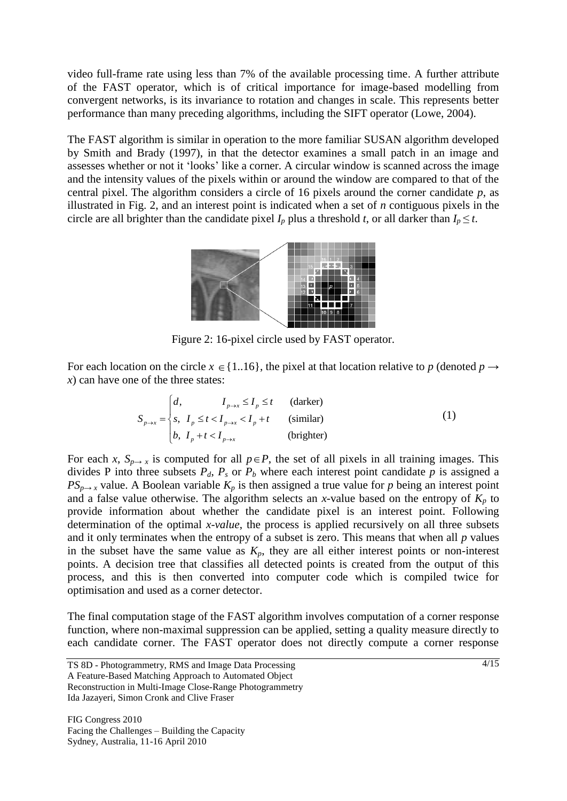video full-frame rate using less than 7% of the available processing time. A further attribute of the FAST operator, which is of critical importance for image-based modelling from convergent networks, is its invariance to rotation and changes in scale. This represents better performance than many preceding algorithms, including the SIFT operator (Lowe, 2004).

The FAST algorithm is similar in operation to the more familiar SUSAN algorithm developed by Smith and Brady (1997), in that the detector examines a small patch in an image and assesses whether or not it 'looks' like a corner. A circular window is scanned across the image and the intensity values of the pixels within or around the window are compared to that of the central pixel. The algorithm considers a circle of 16 pixels around the corner candidate *p*, as illustrated in Fig. 2, and an interest point is indicated when a set of *n* contiguous pixels in the circle are all brighter than the candidate pixel  $I_p$  plus a threshold *t*, or all darker than  $I_p \leq t$ .



Figure 2: 16-pixel circle used by FAST operator.

For each location on the circle  $x \in \{1..16\}$ , the pixel at that location relative to p (denoted  $p \rightarrow$ *x*) can have one of the three states:

e of the three states:  
\n
$$
S_{p\to x} = \begin{cases} d, & I_{p\to x} \le I_p \le t \text{ (darker)} \\ s, & I_p \le t < I_{p\to x} < I_p + t \text{ (similar)} \\ b, & I_p + t < I_{p\to x} \text{ (brighter)} \end{cases}
$$
\n(1)

For each *x*,  $S_{p\to x}$  is computed for all  $p \in P$ , the set of all pixels in all training images. This divides P into three subsets  $P_d$ ,  $P_s$  or  $P_b$  where each interest point candidate p is assigned a *PS*<sub>*p*→</sub> *x* value. A Boolean variable  $K_p$  is then assigned a true value for *p* being an interest point and a false value otherwise. The algorithm selects an *x*-value based on the entropy of  $K_p$  to provide information about whether the candidate pixel is an interest point. Following determination of the optimal *x-value*, the process is applied recursively on all three subsets and it only terminates when the entropy of a subset is zero. This means that when all *p* values in the subset have the same value as  $K_p$ , they are all either interest points or non-interest points. A decision tree that classifies all detected points is created from the output of this process, and this is then converted into computer code which is compiled twice for optimisation and used as a corner detector.

The final computation stage of the FAST algorithm involves computation of a corner response function, where non-maximal suppression can be applied, setting a quality measure directly to each candidate corner. The FAST operator does not directly compute a corner response

TS 8D - Photogrammetry, RMS and Image Data Processing A Feature-Based Matching Approach to Automated Object Reconstruction in Multi-Image Close-Range Photogrammetry Ida Jazayeri, Simon Cronk and Clive Fraser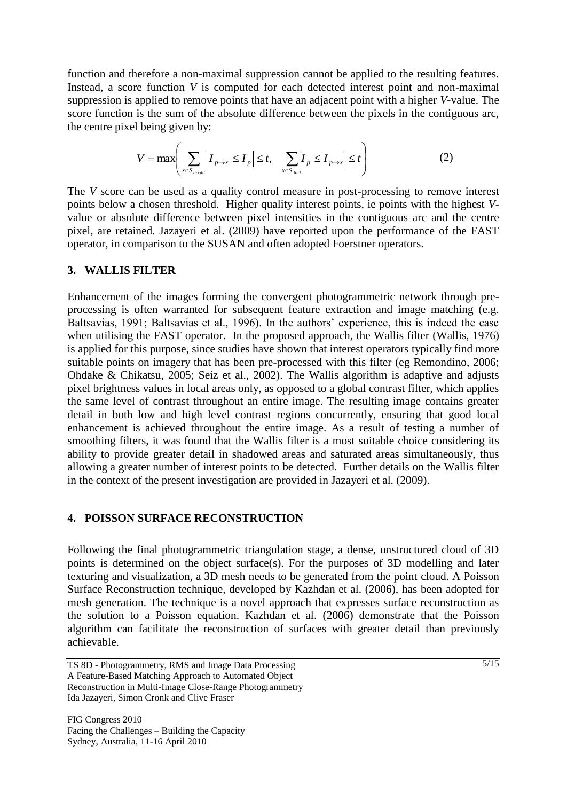function and therefore a non-maximal suppression cannot be applied to the resulting features. Instead, a score function *V* is computed for each detected interest point and non-maximal suppression is applied to remove points that have an adjacent point with a higher *V*-value. The score function is the sum of the absolute difference between the pixels in the contiguous arc, the centre pixel being given by:

$$
V = \max \left( \sum_{x \in S_{bright}} \left| I_{p \to x} \le I_p \right| \le t, \quad \sum_{x \in S_{dark}} \left| I_p \le I_{p \to x} \right| \le t \right)
$$
 (2)

The *V* score can be used as a quality control measure in post-processing to remove interest points below a chosen threshold. Higher quality interest points, ie points with the highest *V*value or absolute difference between pixel intensities in the contiguous arc and the centre pixel, are retained. Jazayeri et al. (2009) have reported upon the performance of the FAST operator, in comparison to the SUSAN and often adopted Foerstner operators.

#### **3. WALLIS FILTER**

Enhancement of the images forming the convergent photogrammetric network through preprocessing is often warranted for subsequent feature extraction and image matching (e.g. Baltsavias, 1991; Baltsavias et al., 1996). In the authors' experience, this is indeed the case when utilising the FAST operator. In the proposed approach, the Wallis filter (Wallis, 1976) is applied for this purpose, since studies have shown that interest operators typically find more suitable points on imagery that has been pre-processed with this filter (eg Remondino, 2006; Ohdake & Chikatsu, 2005; Seiz et al., 2002). The Wallis algorithm is adaptive and adjusts pixel brightness values in local areas only, as opposed to a global contrast filter, which applies the same level of contrast throughout an entire image. The resulting image contains greater detail in both low and high level contrast regions concurrently, ensuring that good local enhancement is achieved throughout the entire image. As a result of testing a number of smoothing filters, it was found that the Wallis filter is a most suitable choice considering its ability to provide greater detail in shadowed areas and saturated areas simultaneously, thus allowing a greater number of interest points to be detected. Further details on the Wallis filter in the context of the present investigation are provided in Jazayeri et al. (2009).

#### **4. POISSON SURFACE RECONSTRUCTION**

Following the final photogrammetric triangulation stage, a dense, unstructured cloud of 3D points is determined on the object surface(s). For the purposes of 3D modelling and later texturing and visualization, a 3D mesh needs to be generated from the point cloud. A Poisson Surface Reconstruction technique, developed by Kazhdan et al. (2006), has been adopted for mesh generation. The technique is a novel approach that expresses surface reconstruction as the solution to a Poisson equation. Kazhdan et al. (2006) demonstrate that the Poisson algorithm can facilitate the reconstruction of surfaces with greater detail than previously achievable.

TS 8D - Photogrammetry, RMS and Image Data Processing A Feature-Based Matching Approach to Automated Object Reconstruction in Multi-Image Close-Range Photogrammetry Ida Jazayeri, Simon Cronk and Clive Fraser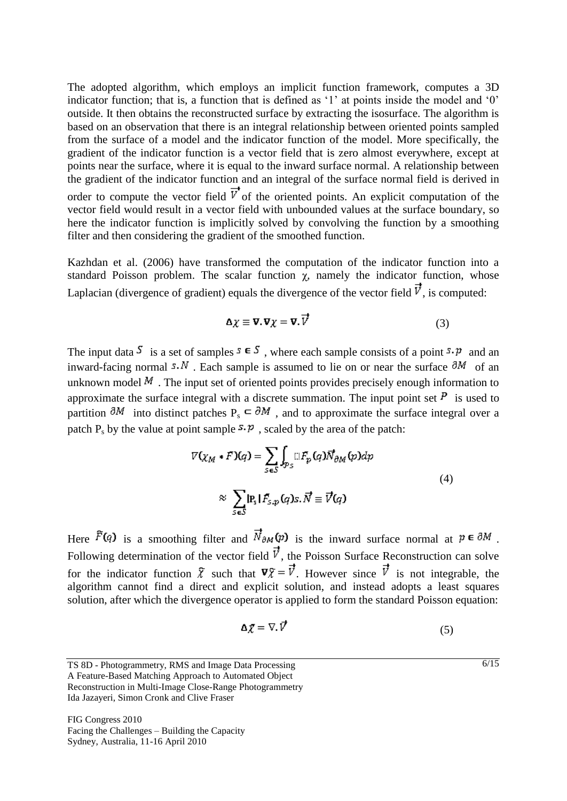The adopted algorithm, which employs an implicit function framework, computes a 3D indicator function; that is, a function that is defined as '1' at points inside the model and '0' outside. It then obtains the reconstructed surface by extracting the isosurface. The algorithm is based on an observation that there is an integral relationship between oriented points sampled from the surface of a model and the indicator function of the model. More specifically, the gradient of the indicator function is a vector field that is zero almost everywhere, except at points near the surface, where it is equal to the inward surface normal. A relationship between the gradient of the indicator function and an integral of the surface normal field is derived in order to compute the vector field  $\vec{v}$  of the oriented points. An explicit computation of the vector field would result in a vector field with unbounded values at the surface boundary, so here the indicator function is implicitly solved by convolving the function by a smoothing filter and then considering the gradient of the smoothed function.

Kazhdan et al. (2006) have transformed the computation of the indicator function into a standard Poisson problem. The scalar function  $\chi$ , namely the indicator function, whose Laplacian (divergence of gradient) equals the divergence of the vector field  $\vec{v}$ , is computed:

$$
\Delta \chi \equiv \nabla. \nabla \chi = \nabla. \overrightarrow{V} \tag{3}
$$

The input data  $\overline{S}$  is a set of samples  $\overline{S} \in \overline{S}$ , where each sample consists of a point  $\overline{S} \cdot \overline{P}$  and an inward-facing normal  $5. N$ . Each sample is assumed to lie on or near the surface  $\partial M$  of an unknown model  $M$ . The input set of oriented points provides precisely enough information to approximate the surface integral with a discrete summation. The input point set  $\overline{P}$  is used to partition  $\partial M$  into distinct patches P<sub>s</sub>  $\subset \partial M$ , and to approximate the surface integral over a patch  $P_s$  by the value at point sample  $\mathcal{F} \cdot \mathcal{P}$ , scaled by the area of the patch:

$$
\nabla \left( \chi_M * F \right) \left( q \right) = \sum_{S \in S} \int_{\mathcal{P}_S} \bigcap_{S} \big[ F_p \left( q \right) \overrightarrow{N}_{\partial M} \left( p \right) \big] dp
$$
\n
$$
\approx \sum_{S \in S} \left| P_S \right| F_{S, p} \left( q \right) S, \overrightarrow{N} \equiv \overrightarrow{V} \left( q \right)
$$
\n
$$
(4)
$$

Here  $\tilde{F}(q)$  is a smoothing filter and  $\vec{N}_{\partial M}(p)$  is the inward surface normal at  $p \in \partial M$ . Following determination of the vector field  $\vec{v}$ , the Poisson Surface Reconstruction can solve for the indicator function  $\bar{x}$  such that  $\nabla \bar{x} = \vec{v}$ . However since  $\vec{v}$  is not integrable, the algorithm cannot find a direct and explicit solution, and instead adopts a least squares solution, after which the divergence operator is applied to form the standard Poisson equation:

$$
\Delta \chi = \nabla. \vec{V} \tag{5}
$$

A Feature-Based Matching Approach to Automated Object Reconstruction in Multi-Image Close-Range Photogrammetry Ida Jazayeri, Simon Cronk and Clive Fraser

FIG Congress 2010 Facing the Challenges – Building the Capacity Sydney, Australia, 11-16 April 2010

 $\sqrt{6/15}$ 

TS 8D - Photogrammetry, RMS and Image Data Processing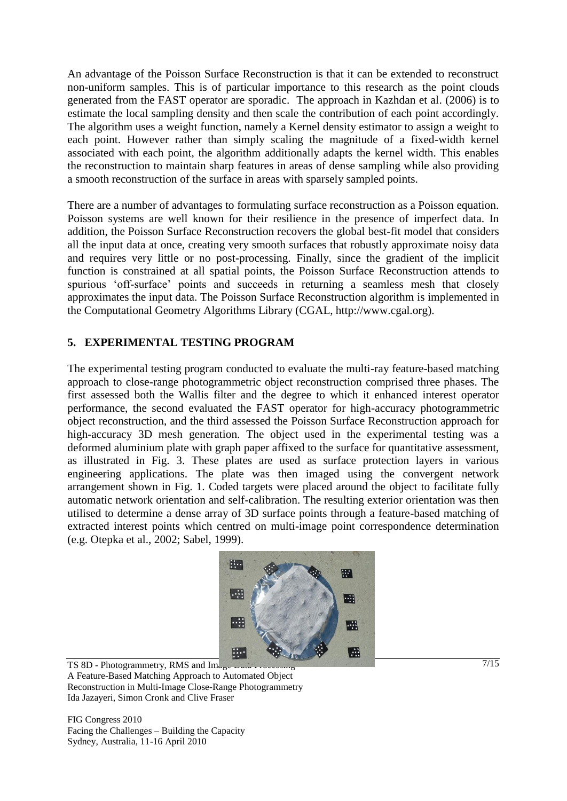An advantage of the Poisson Surface Reconstruction is that it can be extended to reconstruct non-uniform samples. This is of particular importance to this research as the point clouds generated from the FAST operator are sporadic. The approach in Kazhdan et al. (2006) is to estimate the local sampling density and then scale the contribution of each point accordingly. The algorithm uses a weight function, namely a Kernel density estimator to assign a weight to each point. However rather than simply scaling the magnitude of a fixed-width kernel associated with each point, the algorithm additionally adapts the kernel width. This enables the reconstruction to maintain sharp features in areas of dense sampling while also providing a smooth reconstruction of the surface in areas with sparsely sampled points.

There are a number of advantages to formulating surface reconstruction as a Poisson equation. Poisson systems are well known for their resilience in the presence of imperfect data. In addition, the Poisson Surface Reconstruction recovers the global best-fit model that considers all the input data at once, creating very smooth surfaces that robustly approximate noisy data and requires very little or no post-processing. Finally, since the gradient of the implicit function is constrained at all spatial points, the Poisson Surface Reconstruction attends to spurious 'off-surface' points and succeeds in returning a seamless mesh that closely approximates the input data. The Poisson Surface Reconstruction algorithm is implemented in the Computational Geometry Algorithms Library (CGAL, http://www.cgal.org).

## **5. EXPERIMENTAL TESTING PROGRAM**

The experimental testing program conducted to evaluate the multi-ray feature-based matching approach to close-range photogrammetric object reconstruction comprised three phases. The first assessed both the Wallis filter and the degree to which it enhanced interest operator performance, the second evaluated the FAST operator for high-accuracy photogrammetric object reconstruction, and the third assessed the Poisson Surface Reconstruction approach for high-accuracy 3D mesh generation. The object used in the experimental testing was a deformed aluminium plate with graph paper affixed to the surface for quantitative assessment, as illustrated in Fig. 3. These plates are used as surface protection layers in various engineering applications. The plate was then imaged using the convergent network arrangement shown in Fig. 1. Coded targets were placed around the object to facilitate fully automatic network orientation and self-calibration. The resulting exterior orientation was then utilised to determine a dense array of 3D surface points through a feature-based matching of extracted interest points which centred on multi-image point correspondence determination (e.g. Otepka et al., 2002; Sabel, 1999).



TS 8D - Photogrammetry, RMS and Image  $\omega$  as A Feature-Based Matching Approach to Automated Object Reconstruction in Multi-Image Close-Range Photogrammetry Ida Jazayeri, Simon Cronk and Clive Fraser

FIG Congress 2010 Facing the Challenges – Building the Capacity Sydney, Australia, 11-16 April 2010

 $7/15$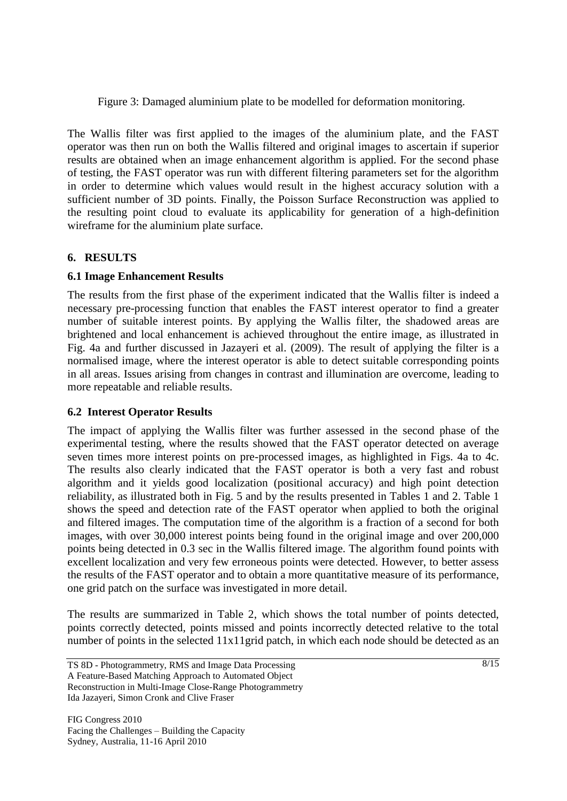Figure 3: Damaged aluminium plate to be modelled for deformation monitoring.

The Wallis filter was first applied to the images of the aluminium plate, and the FAST operator was then run on both the Wallis filtered and original images to ascertain if superior results are obtained when an image enhancement algorithm is applied. For the second phase of testing, the FAST operator was run with different filtering parameters set for the algorithm in order to determine which values would result in the highest accuracy solution with a sufficient number of 3D points. Finally, the Poisson Surface Reconstruction was applied to the resulting point cloud to evaluate its applicability for generation of a high-definition wireframe for the aluminium plate surface.

## **6. RESULTS**

## **6.1 Image Enhancement Results**

The results from the first phase of the experiment indicated that the Wallis filter is indeed a necessary pre-processing function that enables the FAST interest operator to find a greater number of suitable interest points. By applying the Wallis filter, the shadowed areas are brightened and local enhancement is achieved throughout the entire image, as illustrated in Fig. 4a and further discussed in Jazayeri et al. (2009). The result of applying the filter is a normalised image, where the interest operator is able to detect suitable corresponding points in all areas. Issues arising from changes in contrast and illumination are overcome, leading to more repeatable and reliable results.

## **6.2 Interest Operator Results**

The impact of applying the Wallis filter was further assessed in the second phase of the experimental testing, where the results showed that the FAST operator detected on average seven times more interest points on pre-processed images, as highlighted in Figs. 4a to 4c. The results also clearly indicated that the FAST operator is both a very fast and robust algorithm and it yields good localization (positional accuracy) and high point detection reliability, as illustrated both in Fig. 5 and by the results presented in Tables 1 and 2. Table 1 shows the speed and detection rate of the FAST operator when applied to both the original and filtered images. The computation time of the algorithm is a fraction of a second for both images, with over 30,000 interest points being found in the original image and over 200,000 points being detected in 0.3 sec in the Wallis filtered image. The algorithm found points with excellent localization and very few erroneous points were detected. However, to better assess the results of the FAST operator and to obtain a more quantitative measure of its performance, one grid patch on the surface was investigated in more detail.

The results are summarized in Table 2, which shows the total number of points detected, points correctly detected, points missed and points incorrectly detected relative to the total number of points in the selected 11x11grid patch, in which each node should be detected as an

TS 8D - Photogrammetry, RMS and Image Data Processing A Feature-Based Matching Approach to Automated Object Reconstruction in Multi-Image Close-Range Photogrammetry Ida Jazayeri, Simon Cronk and Clive Fraser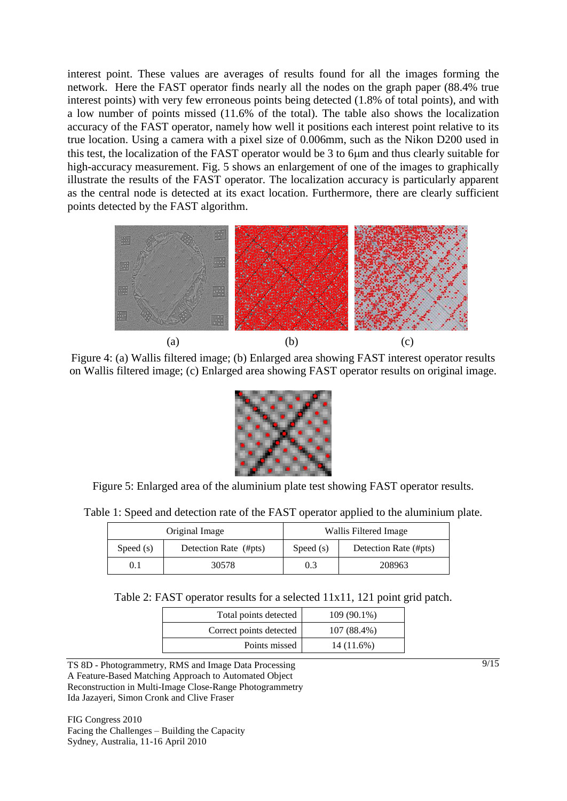interest point. These values are averages of results found for all the images forming the network. Here the FAST operator finds nearly all the nodes on the graph paper (88.4% true interest points) with very few erroneous points being detected (1.8% of total points), and with a low number of points missed (11.6% of the total). The table also shows the localization accuracy of the FAST operator, namely how well it positions each interest point relative to its true location. Using a camera with a pixel size of 0.006mm, such as the Nikon D200 used in this test, the localization of the FAST operator would be 3 to 6 $\mu$ m and thus clearly suitable for high-accuracy measurement. Fig. 5 shows an enlargement of one of the images to graphically illustrate the results of the FAST operator. The localization accuracy is particularly apparent as the central node is detected at its exact location. Furthermore, there are clearly sufficient points detected by the FAST algorithm.



Figure 4: (a) Wallis filtered image; (b) Enlarged area showing FAST interest operator results on Wallis filtered image; (c) Enlarged area showing FAST operator results on original image.



Figure 5: Enlarged area of the aluminium plate test showing FAST operator results.

Table 1: Speed and detection rate of the FAST operator applied to the aluminium plate.

|           | Original Image        | Wallis Filtered Image |                       |  |
|-----------|-----------------------|-----------------------|-----------------------|--|
| Speed (s) | Detection Rate (#pts) | Speed $(s)$           | Detection Rate (#pts) |  |
| $\rm 0.1$ | 30578                 | 0.3                   | 208963                |  |

Table 2: FAST operator results for a selected 11x11, 121 point grid patch.

| Total points detected   | $109(90.1\%)$ |
|-------------------------|---------------|
| Correct points detected | 107 (88.4%)   |
| Points missed           | 14 (11.6%)    |

TS 8D - Photogrammetry, RMS and Image Data Processing A Feature-Based Matching Approach to Automated Object Reconstruction in Multi-Image Close-Range Photogrammetry Ida Jazayeri, Simon Cronk and Clive Fraser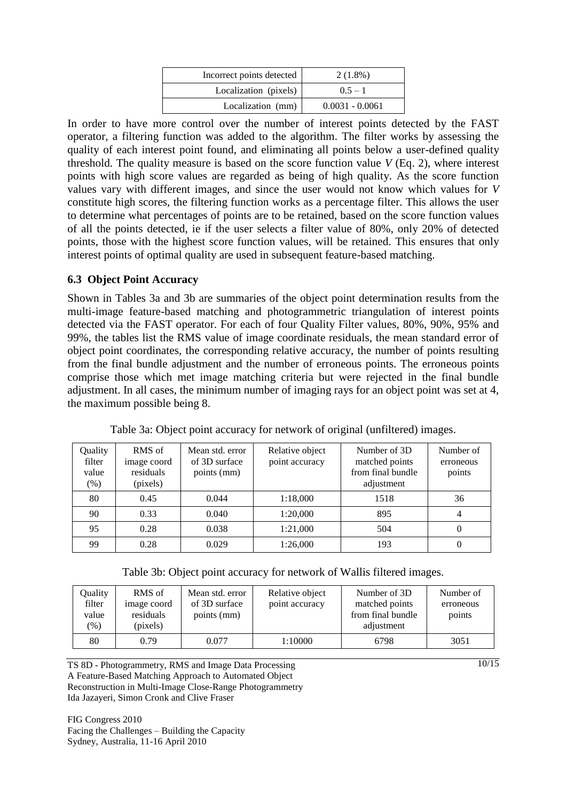| Incorrect points detected | $2(1.8\%)$        |
|---------------------------|-------------------|
| Localization (pixels)     | $0.5 - 1$         |
| Localization (mm)         | $0.0031 - 0.0061$ |

In order to have more control over the number of interest points detected by the FAST operator, a filtering function was added to the algorithm. The filter works by assessing the quality of each interest point found, and eliminating all points below a user-defined quality threshold. The quality measure is based on the score function value *V* (Eq. 2), where interest points with high score values are regarded as being of high quality. As the score function values vary with different images, and since the user would not know which values for *V* constitute high scores, the filtering function works as a percentage filter. This allows the user to determine what percentages of points are to be retained, based on the score function values of all the points detected, ie if the user selects a filter value of 80%, only 20% of detected points, those with the highest score function values, will be retained. This ensures that only interest points of optimal quality are used in subsequent feature-based matching.

### **6.3 Object Point Accuracy**

Shown in Tables 3a and 3b are summaries of the object point determination results from the multi-image feature-based matching and photogrammetric triangulation of interest points detected via the FAST operator. For each of four Quality Filter values, 80%, 90%, 95% and 99%, the tables list the RMS value of image coordinate residuals, the mean standard error of object point coordinates, the corresponding relative accuracy, the number of points resulting from the final bundle adjustment and the number of erroneous points. The erroneous points comprise those which met image matching criteria but were rejected in the final bundle adjustment. In all cases, the minimum number of imaging rays for an object point was set at 4, the maximum possible being 8.

| Quality<br>filter<br>value<br>$(\%)$ | RMS of<br>image coord<br>residuals<br>(pixels) | Mean std. error<br>of 3D surface<br>points (mm) | Relative object<br>point accuracy | Number of 3D<br>matched points<br>from final bundle<br>adjustment | Number of<br>erroneous<br>points |
|--------------------------------------|------------------------------------------------|-------------------------------------------------|-----------------------------------|-------------------------------------------------------------------|----------------------------------|
| 80                                   | 0.45                                           | 0.044                                           | 1:18,000                          | 1518                                                              | 36                               |
| 90                                   | 0.33                                           | 0.040                                           | 1:20,000                          | 895                                                               |                                  |
| 95                                   | 0.28                                           | 0.038                                           | 1:21,000                          | 504                                                               |                                  |
| 99                                   | 0.28                                           | 0.029                                           | 1:26,000                          | 193                                                               |                                  |

Table 3a: Object point accuracy for network of original (unfiltered) images.

|  |  |  | Table 3b: Object point accuracy for network of Wallis filtered images. |  |  |
|--|--|--|------------------------------------------------------------------------|--|--|
|  |  |  |                                                                        |  |  |

| Ouality<br>filter<br>value<br>$(\% )$ | RMS of<br>image coord<br>residuals<br>(pixels) | Mean std. error<br>of 3D surface<br>points (mm) | Relative object<br>point accuracy | Number of 3D<br>matched points<br>from final bundle<br>adjustment | Number of<br>erroneous<br>points |
|---------------------------------------|------------------------------------------------|-------------------------------------------------|-----------------------------------|-------------------------------------------------------------------|----------------------------------|
| 80                                    | 0.79                                           | 0.077                                           | 1:10000                           | 6798                                                              | 3051                             |

TS 8D - Photogrammetry, RMS and Image Data Processing A Feature-Based Matching Approach to Automated Object Reconstruction in Multi-Image Close-Range Photogrammetry Ida Jazayeri, Simon Cronk and Clive Fraser

FIG Congress 2010 Facing the Challenges – Building the Capacity Sydney, Australia, 11-16 April 2010

 $\sqrt{10/15}$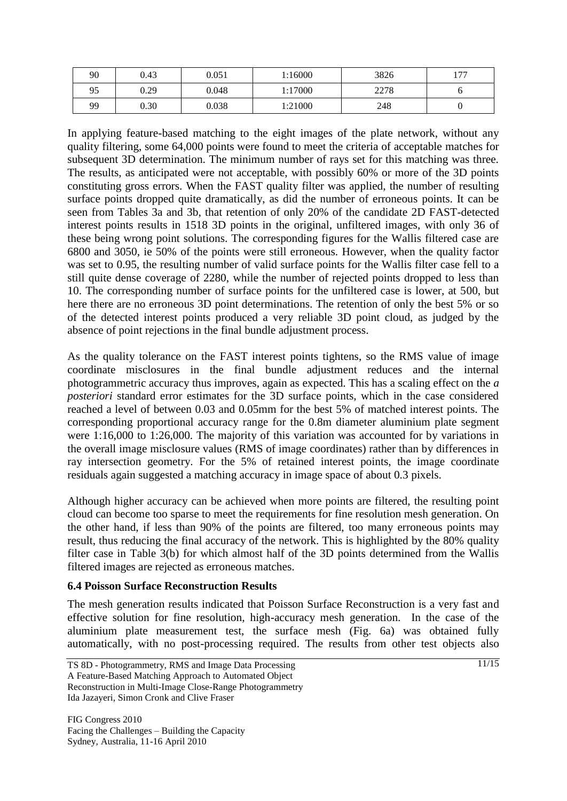| 90 | 0.43 | 0.051 | 1:16000 | 3826 | 177 |
|----|------|-------|---------|------|-----|
| 95 | 0.29 | 0.048 | l:17000 | 2278 |     |
| 99 | 0.30 | 0.038 | 1:21000 | 248  |     |

In applying feature-based matching to the eight images of the plate network, without any quality filtering, some 64,000 points were found to meet the criteria of acceptable matches for subsequent 3D determination. The minimum number of rays set for this matching was three. The results, as anticipated were not acceptable, with possibly 60% or more of the 3D points constituting gross errors. When the FAST quality filter was applied, the number of resulting surface points dropped quite dramatically, as did the number of erroneous points. It can be seen from Tables 3a and 3b, that retention of only 20% of the candidate 2D FAST-detected interest points results in 1518 3D points in the original, unfiltered images, with only 36 of these being wrong point solutions. The corresponding figures for the Wallis filtered case are 6800 and 3050, ie 50% of the points were still erroneous. However, when the quality factor was set to 0.95, the resulting number of valid surface points for the Wallis filter case fell to a still quite dense coverage of 2280, while the number of rejected points dropped to less than 10. The corresponding number of surface points for the unfiltered case is lower, at 500, but here there are no erroneous 3D point determinations. The retention of only the best 5% or so of the detected interest points produced a very reliable 3D point cloud, as judged by the absence of point rejections in the final bundle adjustment process.

As the quality tolerance on the FAST interest points tightens, so the RMS value of image coordinate misclosures in the final bundle adjustment reduces and the internal photogrammetric accuracy thus improves, again as expected. This has a scaling effect on the *a posteriori* standard error estimates for the 3D surface points, which in the case considered reached a level of between 0.03 and 0.05mm for the best 5% of matched interest points. The corresponding proportional accuracy range for the 0.8m diameter aluminium plate segment were 1:16,000 to 1:26,000. The majority of this variation was accounted for by variations in the overall image misclosure values (RMS of image coordinates) rather than by differences in ray intersection geometry. For the 5% of retained interest points, the image coordinate residuals again suggested a matching accuracy in image space of about 0.3 pixels.

Although higher accuracy can be achieved when more points are filtered, the resulting point cloud can become too sparse to meet the requirements for fine resolution mesh generation. On the other hand, if less than 90% of the points are filtered, too many erroneous points may result, thus reducing the final accuracy of the network. This is highlighted by the 80% quality filter case in Table 3(b) for which almost half of the 3D points determined from the Wallis filtered images are rejected as erroneous matches.

## **6.4 Poisson Surface Reconstruction Results**

The mesh generation results indicated that Poisson Surface Reconstruction is a very fast and effective solution for fine resolution, high-accuracy mesh generation. In the case of the aluminium plate measurement test, the surface mesh (Fig. 6a) was obtained fully automatically, with no post-processing required. The results from other test objects also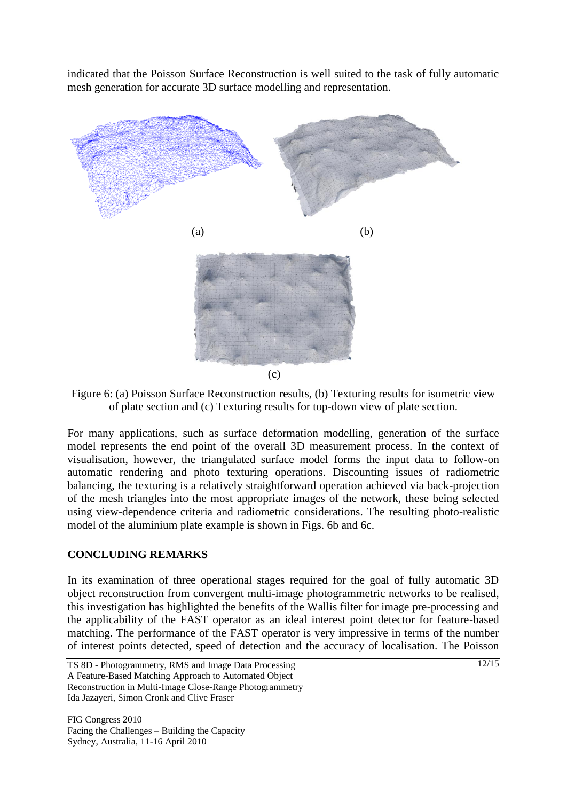indicated that the Poisson Surface Reconstruction is well suited to the task of fully automatic mesh generation for accurate 3D surface modelling and representation.





For many applications, such as surface deformation modelling, generation of the surface model represents the end point of the overall 3D measurement process. In the context of visualisation, however, the triangulated surface model forms the input data to follow-on automatic rendering and photo texturing operations. Discounting issues of radiometric balancing, the texturing is a relatively straightforward operation achieved via back-projection of the mesh triangles into the most appropriate images of the network, these being selected using view-dependence criteria and radiometric considerations. The resulting photo-realistic model of the aluminium plate example is shown in Figs. 6b and 6c.

## **CONCLUDING REMARKS**

In its examination of three operational stages required for the goal of fully automatic 3D object reconstruction from convergent multi-image photogrammetric networks to be realised, this investigation has highlighted the benefits of the Wallis filter for image pre-processing and the applicability of the FAST operator as an ideal interest point detector for feature-based matching. The performance of the FAST operator is very impressive in terms of the number of interest points detected, speed of detection and the accuracy of localisation. The Poisson

TS 8D - Photogrammetry, RMS and Image Data Processing A Feature-Based Matching Approach to Automated Object Reconstruction in Multi-Image Close-Range Photogrammetry Ida Jazayeri, Simon Cronk and Clive Fraser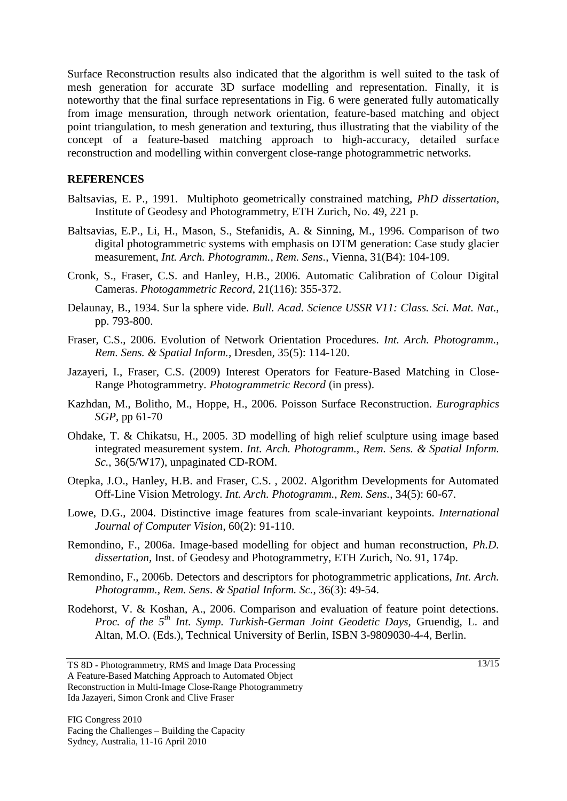Surface Reconstruction results also indicated that the algorithm is well suited to the task of mesh generation for accurate 3D surface modelling and representation. Finally, it is noteworthy that the final surface representations in Fig. 6 were generated fully automatically from image mensuration, through network orientation, feature-based matching and object point triangulation, to mesh generation and texturing, thus illustrating that the viability of the concept of a feature-based matching approach to high-accuracy, detailed surface reconstruction and modelling within convergent close-range photogrammetric networks.

### **REFERENCES**

- Baltsavias, E. P., 1991. Multiphoto geometrically constrained matching, *PhD dissertation,*  Institute of Geodesy and Photogrammetry, ETH Zurich, No. 49, 221 p.
- Baltsavias, E.P., Li, H., Mason, S., Stefanidis, A. & Sinning, M., 1996. Comparison of two digital photogrammetric systems with emphasis on DTM generation: Case study glacier measurement, *Int. Arch. Photogramm., Rem. Sens.*, Vienna, 31(B4): 104-109.
- Cronk, S., Fraser, C.S. and Hanley, H.B., 2006. Automatic Calibration of Colour Digital Cameras. *Photogammetric Record*, 21(116): 355-372.
- Delaunay, B., 1934. Sur la sphere vide. *Bull. Acad. Science USSR V11: Class. Sci. Mat. Nat.,*  pp. 793-800.
- Fraser, C.S., 2006. Evolution of Network Orientation Procedures. *Int. Arch. Photogramm., Rem. Sens. & Spatial Inform.,* Dresden*,* 35(5): 114-120.
- Jazayeri, I., Fraser, C.S. (2009) Interest Operators for Feature-Based Matching in Close-Range Photogrammetry. *Photogrammetric Record* (in press).
- Kazhdan, M., Bolitho, M., Hoppe, H., 2006. Poisson Surface Reconstruction. *Eurographics SGP*, pp 61-70
- Ohdake, T. & Chikatsu, H., 2005. 3D modelling of high relief sculpture using image based integrated measurement system. *Int. Arch. Photogramm., Rem. Sens. & Spatial Inform. Sc.*, 36(5/W17), unpaginated CD-ROM.
- Otepka, J.O., Hanley, H.B. and Fraser, C.S. , 2002. Algorithm Developments for Automated Off-Line Vision Metrology*. Int. Arch. Photogramm., Rem. Sens.*, 34(5): 60-67.
- Lowe, D.G., 2004. Distinctive image features from scale-invariant keypoints. *International Journal of Computer Vision*, 60(2): 91-110.
- Remondino, F., 2006a. Image-based modelling for object and human reconstruction, *Ph.D. dissertation,* Inst. of Geodesy and Photogrammetry, ETH Zurich, No. 91, 174p.
- Remondino, F., 2006b. Detectors and descriptors for photogrammetric applications, *Int. Arch. Photogramm., Rem. Sens. & Spatial Inform. Sc.*, 36(3): 49-54.
- Rodehorst, V. & Koshan, A., 2006. Comparison and evaluation of feature point detections. *Proc. of the 5th Int. Symp. Turkish-German Joint Geodetic Days,* Gruendig, L. and Altan, M.O. (Eds.), Technical University of Berlin, ISBN 3-9809030-4-4, Berlin.

TS 8D - Photogrammetry, RMS and Image Data Processing A Feature-Based Matching Approach to Automated Object Reconstruction in Multi-Image Close-Range Photogrammetry Ida Jazayeri, Simon Cronk and Clive Fraser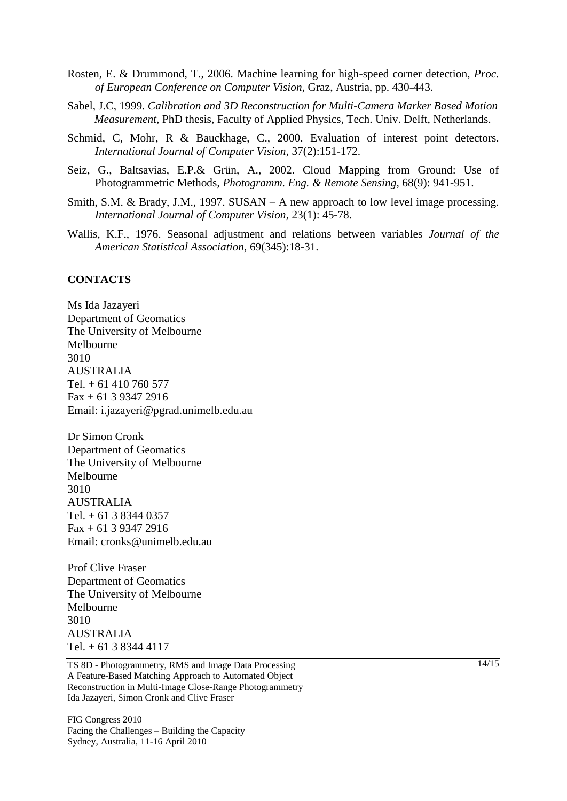- Rosten, E. & Drummond, T., 2006. Machine learning for high-speed corner detection, *Proc. of European Conference on Computer Vision*, Graz, Austria, pp. 430-443.
- Sabel, J.C, 1999. *Calibration and 3D Reconstruction for Multi-Camera Marker Based Motion Measurement*, PhD thesis, Faculty of Applied Physics, Tech. Univ. Delft, Netherlands.
- Schmid, C, Mohr, R & Bauckhage, C., 2000. Evaluation of interest point detectors. *International Journal of Computer Vision*, 37(2):151-172.
- Seiz, G., Baltsavias, E.P.& Grün, A., 2002. Cloud Mapping from Ground: Use of Photogrammetric Methods, *Photogramm. Eng. & Remote Sensing,* 68(9): 941-951.
- Smith, S.M. & Brady, J.M., 1997. SUSAN A new approach to low level image processing. *International Journal of Computer Vision*, 23(1): 45-78.
- Wallis, K.F., 1976. Seasonal adjustment and relations between variables *Journal of the American Statistical Association,* 69(345):18-31.

### **CONTACTS**

Ms Ida Jazayeri Department of Geomatics The University of Melbourne Melbourne 3010 AUSTRALIA Tel. + 61 410 760 577 Fax + 61 3 9347 2916 Email: i.jazayeri@pgrad.unimelb.edu.au

Dr Simon Cronk Department of Geomatics The University of Melbourne Melbourne 3010 AUSTRALIA Tel. + 61 3 8344 0357 Fax + 61 3 9347 2916 Email: cronks@unimelb.edu.au

Prof Clive Fraser Department of Geomatics The University of Melbourne Melbourne 3010 AUSTRALIA Tel. + 61 3 8344 4117

TS 8D - Photogrammetry, RMS and Image Data Processing A Feature-Based Matching Approach to Automated Object Reconstruction in Multi-Image Close-Range Photogrammetry Ida Jazayeri, Simon Cronk and Clive Fraser

FIG Congress 2010 Facing the Challenges – Building the Capacity Sydney, Australia, 11-16 April 2010

 $\frac{14}{15}$